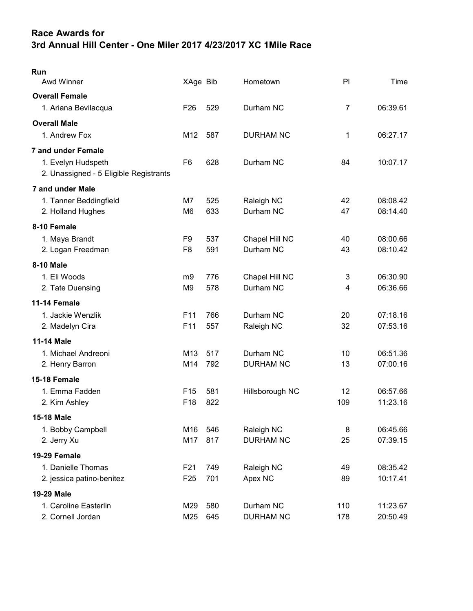## Race Awards for 3rd Annual Hill Center - One Miler 2017 4/23/2017 XC 1Mile Race

| Run<br>Awd Winner                                            | XAge Bib        |     | Hometown         | PI  | Time     |
|--------------------------------------------------------------|-----------------|-----|------------------|-----|----------|
| <b>Overall Female</b>                                        |                 |     |                  |     |          |
| 1. Ariana Bevilacqua                                         | F <sub>26</sub> | 529 | Durham NC        | 7   | 06:39.61 |
| <b>Overall Male</b>                                          |                 |     |                  |     |          |
| 1. Andrew Fox                                                | M12             | 587 | <b>DURHAM NC</b> | 1   | 06:27.17 |
| <b>7 and under Female</b>                                    |                 |     |                  |     |          |
| 1. Evelyn Hudspeth<br>2. Unassigned - 5 Eligible Registrants | F <sub>6</sub>  | 628 | Durham NC        | 84  | 10:07.17 |
| <b>7 and under Male</b>                                      |                 |     |                  |     |          |
| 1. Tanner Beddingfield                                       | M7              | 525 | Raleigh NC       | 42  | 08:08.42 |
| 2. Holland Hughes                                            | M <sub>6</sub>  | 633 | Durham NC        | 47  | 08:14.40 |
| 8-10 Female                                                  |                 |     |                  |     |          |
| 1. Maya Brandt                                               | F <sub>9</sub>  | 537 | Chapel Hill NC   | 40  | 08:00.66 |
| 2. Logan Freedman                                            | F <sub>8</sub>  | 591 | Durham NC        | 43  | 08:10.42 |
| <b>8-10 Male</b>                                             |                 |     |                  |     |          |
| 1. Eli Woods                                                 | m9              | 776 | Chapel Hill NC   | 3   | 06:30.90 |
| 2. Tate Duensing                                             | M <sub>9</sub>  | 578 | Durham NC        | 4   | 06:36.66 |
| 11-14 Female                                                 |                 |     |                  |     |          |
| 1. Jackie Wenzlik                                            | F <sub>11</sub> | 766 | Durham NC        | 20  | 07:18.16 |
| 2. Madelyn Cira                                              | F11             | 557 | Raleigh NC       | 32  | 07:53.16 |
| <b>11-14 Male</b>                                            |                 |     |                  |     |          |
| 1. Michael Andreoni                                          | M <sub>13</sub> | 517 | Durham NC        | 10  | 06:51.36 |
| 2. Henry Barron                                              | M14             | 792 | <b>DURHAM NC</b> | 13  | 07:00.16 |
| 15-18 Female                                                 |                 |     |                  |     |          |
| 1. Emma Fadden                                               | F <sub>15</sub> | 581 | Hillsborough NC  | 12  | 06:57.66 |
| 2. Kim Ashley                                                | F18             | 822 |                  | 109 | 11:23.16 |
| 15-18 Male                                                   |                 |     |                  |     |          |
| 1. Bobby Campbell                                            | M16             | 546 | Raleigh NC       | 8   | 06:45.66 |
| 2. Jerry Xu                                                  | M17             | 817 | <b>DURHAM NC</b> | 25  | 07:39.15 |
| 19-29 Female                                                 |                 |     |                  |     |          |
| 1. Danielle Thomas                                           | F <sub>21</sub> | 749 | Raleigh NC       | 49  | 08:35.42 |
| 2. jessica patino-benitez                                    | F <sub>25</sub> | 701 | Apex NC          | 89  | 10:17.41 |
| <b>19-29 Male</b>                                            |                 |     |                  |     |          |
| 1. Caroline Easterlin                                        | M29             | 580 | Durham NC        | 110 | 11:23.67 |
| 2. Cornell Jordan                                            | M25             | 645 | <b>DURHAM NC</b> | 178 | 20:50.49 |